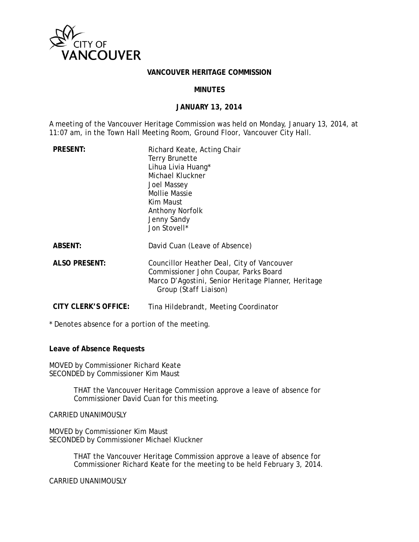

#### **VANCOUVER HERITAGE COMMISSION**

### **MINUTES**

### **JANUARY 13, 2014**

A meeting of the Vancouver Heritage Commission was held on Monday, January 13, 2014, at 11:07 am, in the Town Hall Meeting Room, Ground Floor, Vancouver City Hall.

| <b>Terry Brunette</b><br>Lihua Livia Huang*<br>Michael Kluckner<br><b>Joel Massey</b><br><b>Mollie Massie</b><br>Kim Maust<br><b>Anthony Norfolk</b><br>Jenny Sandy<br>Jon Stovell* |
|-------------------------------------------------------------------------------------------------------------------------------------------------------------------------------------|
| David Cuan (Leave of Absence)                                                                                                                                                       |
| Councillor Heather Deal, City of Vancouver<br>Commissioner John Coupar, Parks Board<br>Marco D'Agostini, Senior Heritage Planner, Heritage<br>Group (Staff Liaison)                 |
|                                                                                                                                                                                     |

**CITY CLERK'S OFFICE:** Tina Hildebrandt, Meeting Coordinator

\* Denotes absence for a portion of the meeting.

**Leave of Absence Requests** 

MOVED by Commissioner Richard Keate SECONDED by Commissioner Kim Maust

> THAT the Vancouver Heritage Commission approve a leave of absence for Commissioner David Cuan for this meeting.

CARRIED UNANIMOUSLY

MOVED by Commissioner Kim Maust SECONDED by Commissioner Michael Kluckner

> THAT the Vancouver Heritage Commission approve a leave of absence for Commissioner Richard Keate for the meeting to be held February 3, 2014.

CARRIED UNANIMOUSLY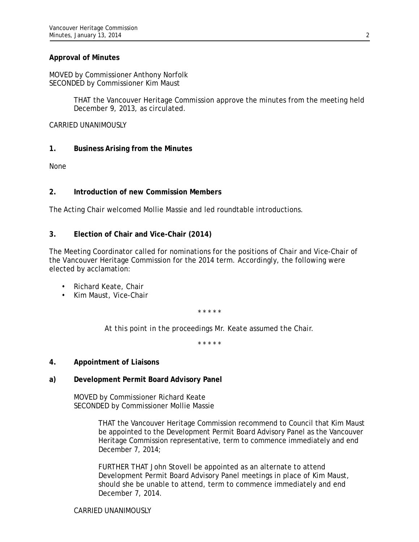## **Approval of Minutes**

MOVED by Commissioner Anthony Norfolk SECONDED by Commissioner Kim Maust

> THAT the Vancouver Heritage Commission approve the minutes from the meeting held December 9, 2013, as circulated.

CARRIED UNANIMOUSLY

## **1. Business Arising from the Minutes**

None

## **2. Introduction of new Commission Members**

The Acting Chair welcomed Mollie Massie and led roundtable introductions.

## **3. Election of Chair and Vice-Chair (2014)**

The Meeting Coordinator called for nominations for the positions of Chair and Vice-Chair of the Vancouver Heritage Commission for the 2014 term. Accordingly, the following were elected by acclamation:

- Richard Keate, Chair
- Kim Maust, Vice-Chair

\* \* \* \* \*

*At this point in the proceedings Mr. Keate assumed the Chair.* 

\* \* \* \* \*

### **4. Appointment of Liaisons**

## **a) Development Permit Board Advisory Panel**

MOVED by Commissioner Richard Keate SECONDED by Commissioner Mollie Massie

> THAT the Vancouver Heritage Commission recommend to Council that Kim Maust be appointed to the Development Permit Board Advisory Panel as the Vancouver Heritage Commission representative, term to commence immediately and end December 7, 2014;

FURTHER THAT John Stovell be appointed as an alternate to attend Development Permit Board Advisory Panel meetings in place of Kim Maust, should she be unable to attend, term to commence immediately and end December 7, 2014.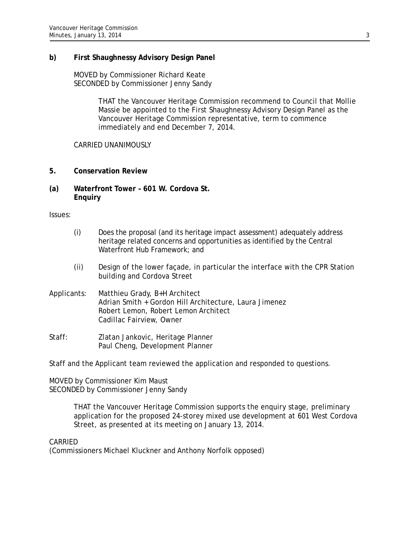## **b) First Shaughnessy Advisory Design Panel**

MOVED by Commissioner Richard Keate SECONDED by Commissioner Jenny Sandy

> THAT the Vancouver Heritage Commission recommend to Council that Mollie Massie be appointed to the First Shaughnessy Advisory Design Panel as the Vancouver Heritage Commission representative, term to commence immediately and end December 7, 2014.

## CARRIED UNANIMOUSLY

- **5. Conservation Review**
- **(a) Waterfront Tower 601 W. Cordova St. Enquiry**

Issues:

- (i) Does the proposal (and its heritage impact assessment) adequately address heritage related concerns and opportunities as identified by the Central Waterfront Hub Framework; and
- (ii) Design of the lower façade, in particular the interface with the CPR Station building and Cordova Street
- Applicants: Matthieu Grady, B+H Architect Adrian Smith + Gordon Hill Architecture, Laura Jimenez Robert Lemon, Robert Lemon Architect Cadillac Fairview, Owner
- Staff: Zlatan Jankovic, Heritage Planner Paul Cheng, Development Planner

Staff and the Applicant team reviewed the application and responded to questions.

MOVED by Commissioner Kim Maust SECONDED by Commissioner Jenny Sandy

> THAT the Vancouver Heritage Commission supports the enquiry stage, preliminary application for the proposed 24-storey mixed use development at 601 West Cordova Street, as presented at its meeting on January 13, 2014.

### CARRIED

(Commissioners Michael Kluckner and Anthony Norfolk opposed)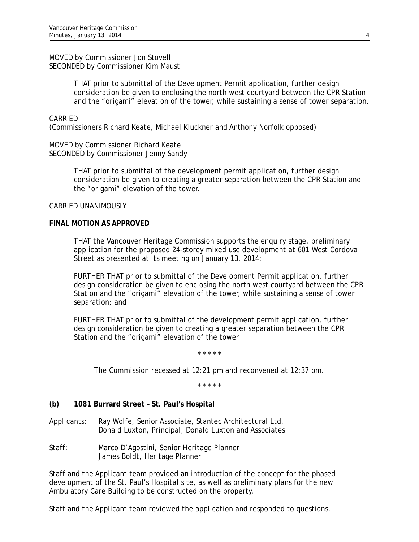MOVED by Commissioner Jon Stovell SECONDED by Commissioner Kim Maust

> THAT prior to submittal of the Development Permit application, further design consideration be given to enclosing the north west courtyard between the CPR Station and the "origami" elevation of the tower, while sustaining a sense of tower separation.

### CARRIED

(Commissioners Richard Keate, Michael Kluckner and Anthony Norfolk opposed)

MOVED by Commissioner Richard Keate SECONDED by Commissioner Jenny Sandy

> THAT prior to submittal of the development permit application, further design consideration be given to creating a greater separation between the CPR Station and the "origami" elevation of the tower.

#### CARRIED UNANIMOUSLY

#### **FINAL MOTION AS APPROVED**

THAT the Vancouver Heritage Commission supports the enquiry stage, preliminary application for the proposed 24-storey mixed use development at 601 West Cordova Street as presented at its meeting on January 13, 2014;

FURTHER THAT prior to submittal of the Development Permit application, further design consideration be given to enclosing the north west courtyard between the CPR Station and the "origami" elevation of the tower, while sustaining a sense of tower separation; and

FURTHER THAT prior to submittal of the development permit application, further design consideration be given to creating a greater separation between the CPR Station and the "origami" elevation of the tower.

\* \* \* \* \*

*The Commission recessed at 12:21 pm and reconvened at 12:37 pm.* 

\* \* \* \* \*

### **(b) 1081 Burrard Street – St. Paul's Hospital**

- Applicants: Ray Wolfe, Senior Associate, Stantec Architectural Ltd. Donald Luxton, Principal, Donald Luxton and Associates
- Staff: Marco D'Agostini, Senior Heritage Planner James Boldt, Heritage Planner

Staff and the Applicant team provided an introduction of the concept for the phased development of the St. Paul's Hospital site, as well as preliminary plans for the new Ambulatory Care Building to be constructed on the property.

Staff and the Applicant team reviewed the application and responded to questions.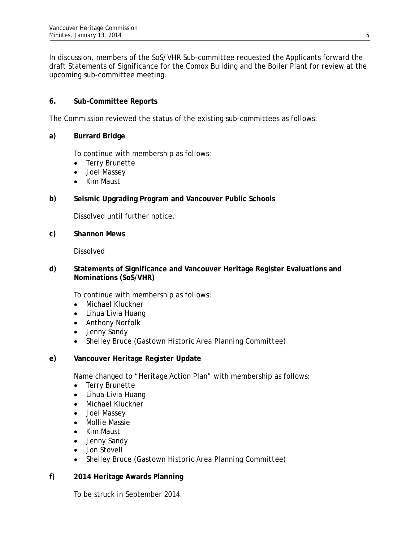In discussion, members of the SoS/VHR Sub-committee requested the Applicants forward the draft Statements of Significance for the Comox Building and the Boiler Plant for review at the upcoming sub-committee meeting.

# **6. Sub-Committee Reports**

The Commission reviewed the status of the existing sub-committees as follows:

## **a) Burrard Bridge**

To continue with membership as follows:

- Terry Brunette
- Joel Massey
- Kim Maust

## **b) Seismic Upgrading Program and Vancouver Public Schools**

Dissolved until further notice.

**c) Shannon Mews** 

Dissolved

## **d) Statements of Significance and Vancouver Heritage Register Evaluations and Nominations (SoS/VHR)**

To continue with membership as follows:

- Michael Kluckner
- Lihua Livia Huang
- Anthony Norfolk
- Jenny Sandy
- Shelley Bruce *(Gastown Historic Area Planning Committee)*
- **e) Vancouver Heritage Register Update**

Name changed to "Heritage Action Plan" with membership as follows:

- Terry Brunette
- Lihua Livia Huang
- Michael Kluckner
- Joel Massey
- Mollie Massie
- Kim Maust
- Jenny Sandy
- Jon Stovell
- Shelley Bruce *(Gastown Historic Area Planning Committee)*
- **f) 2014 Heritage Awards Planning**

To be struck in September 2014.